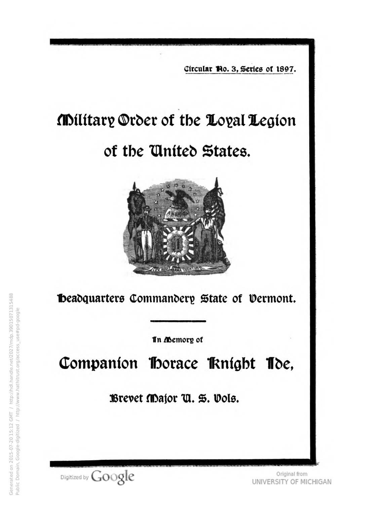Circular No. 3, Series of 1897.

## Military Order of the Loyal Legion

## of the United States.



**Ibeadquarters Commandery State of Vermont.** 

In Memory of

Companion Horace Knight Toe,

Brevet Major U. S. Vols.

Digitized by Google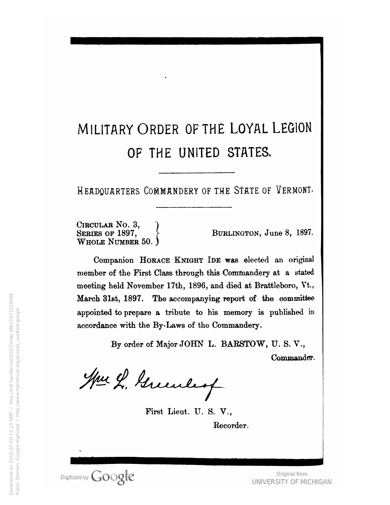## MILITARY ORDER OF THE LOYAL LEGION OF THE UNITED STATES.

Headquarters Commandery of the STate of Vermont-

CIRCULAR No. 3, SERIES OF 1897, Whole Number 50. )

Burlington, June 8, 1897.

Companion HORACE KNIGHT IDE was elected an original member of the First Class through this Commandery at a stated meeting held November 17th, 1896, and died at Brattleboro, Vt., March 31st, 1897. The accompanying report of the committee appointed to prepare a tribute to his memory is published in accordance with the By-Laws of the Commandery.

> By order of Major JOHN L. BARSTOW, U. S. V., Commander.

Hur L. Greenley

First Lieut. U. S. V., Recorder.

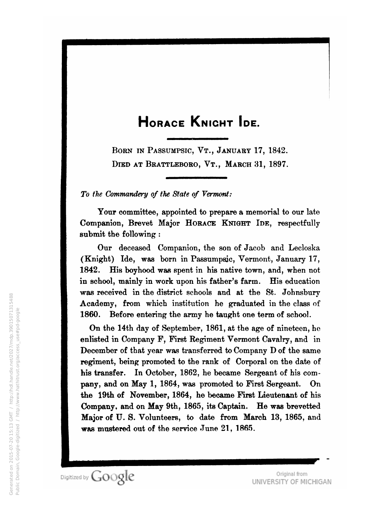## HORACE KNIGHT IDE.

BORN IN PASSUMPSIC, VT., JANUARY 17, 1842. DIED AT BRATTLEBORO, VT., MARCH 31, 1897.

To the Commandery of the State of Vermont:

Your committee, appointed to prepare a memorial to our late Companion, Brevet Major HORACE KNIGHT IDE, respectfully submit the following :

Our deceased Companion, the son of Jacob and Lecloska (Knight) Ide, was born in Passumpsic, Vermont, January 17, 1842. His boyhood was spent in his native town, and, when not in school, mainly in work upon his father's farm. His education was received in the district schools and at the St. Johnsbury Academy, from which institution he graduated in the class of 1860. Before entering the army he taught one term of school.

On the 14th day of September, 1861, at the age of nineteen, ho enlisted in Company F, First Regiment Vermont Cavalry, and in December of that year was transferred to Company D of the same regiment, being promoted to the rank of Corporal on the date of his transfer. In October, 1862, he became Sergeant of his company, and on May 1, 1864, was promoted to First Sergeant. On the 19th of November, 1864, ho became First Lieutenant of his Company, and on May 9th, 1865, its Captain. He was brevetted Major of U. S. Volunteers, to date from March 13, 1865, and was mustered out of the service June 21, 1865.

Digitized by Google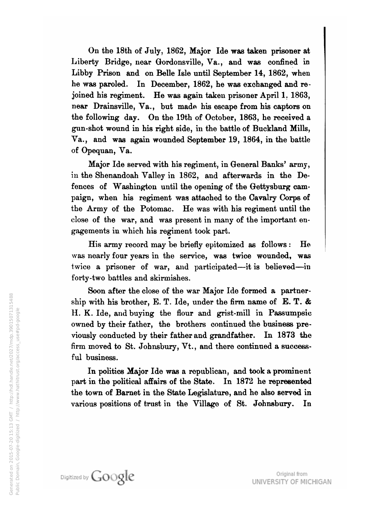On the 18th of July, 1862, Major He was taken prisoner at Liberty Bridge, near Gordonsville, Va., and was confined in Libby Prison and on Belle Isle until September 14, 1862, when he was paroled. In December, 1862, he was exchanged and re joined his regiment. He was again taken prisoner April 1. 1863, near Drainsville, Va., but made his escape from his captors on the following day. On the 19th of October, 1863, he received <sup>a</sup> gun-shot wound in his right side, in the battle of Buckland Mills, Va., and was again wounded September 19, 1864, in the battle of Opequan, Va.

Major Ide served with his regiment, in General Banks' army, in the Shenandoah Valley in 1862, and afterwards in the De fences of Washington until the opening of the Gettysburg cam paign, when his regiment was attached to the Cavalry Corps of the Army of the Potomac. He was with his regiment until the close of the war, and was present in many of the important en gagements in which his regiment took part.

His army record may be briefly epitomized as follows : He was nearly four years in the service, was twice wounded, was twice <sup>a</sup> prisoner of war, and participated—it is believed —in forty-two battles and skirmishes.

Soon after the close of the war Major Ide formed a partner ship with his brother, E. T. Ide, under the firm name of E. T. & H. K. Ide, and buying the flour and grist-mill in Passumpsic owned by their father, the brothers continued the business pre viously conducted by their father and grandfather. In 1873 the firm moved to St. Johnsbury, Vt., and there continued <sup>a</sup> success ful business.

In polities Major Ide was <sup>a</sup> republican, and took <sup>a</sup> prominent part in the political affairs of the State. In <sup>1872</sup> he represented the town of Barnet in the State Legislature, and he also served in various positions of trust in the Village of St. Johnsbury. In